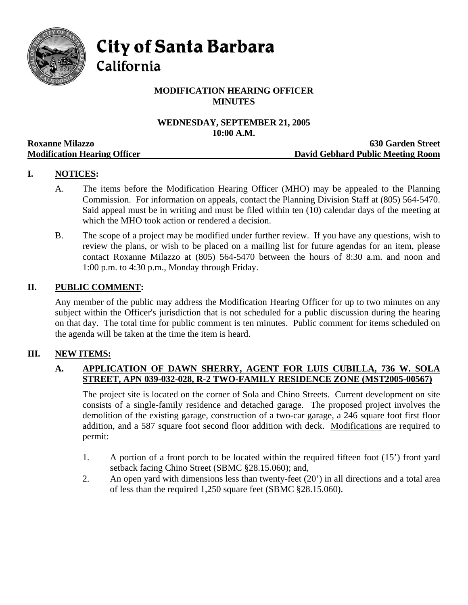

**City of Santa Barbara** 

California

# **MODIFICATION HEARING OFFICER MINUTES**

## **WEDNESDAY, SEPTEMBER 21, 2005 10:00 A.M.**

|                                     | TAYAA TIRTAYIY                    |
|-------------------------------------|-----------------------------------|
| <b>Roxanne Milazzo</b>              | <b>630 Garden Street</b>          |
| <b>Modification Hearing Officer</b> | David Gebhard Public Meeting Room |

## **I. NOTICES:**

- A. The items before the Modification Hearing Officer (MHO) may be appealed to the Planning Commission. For information on appeals, contact the Planning Division Staff at (805) 564-5470. Said appeal must be in writing and must be filed within ten (10) calendar days of the meeting at which the MHO took action or rendered a decision.
- B. The scope of a project may be modified under further review. If you have any questions, wish to review the plans, or wish to be placed on a mailing list for future agendas for an item, please contact Roxanne Milazzo at (805) 564-5470 between the hours of 8:30 a.m. and noon and 1:00 p.m. to 4:30 p.m., Monday through Friday.

## **II. PUBLIC COMMENT:**

Any member of the public may address the Modification Hearing Officer for up to two minutes on any subject within the Officer's jurisdiction that is not scheduled for a public discussion during the hearing on that day. The total time for public comment is ten minutes. Public comment for items scheduled on the agenda will be taken at the time the item is heard.

## **III. NEW ITEMS:**

#### **A. APPLICATION OF DAWN SHERRY, AGENT FOR LUIS CUBILLA, 736 W. SOLA STREET, APN 039-032-028, R-2 TWO-FAMILY RESIDENCE ZONE (MST2005-00567)**

The project site is located on the corner of Sola and Chino Streets. Current development on site consists of a single-family residence and detached garage. The proposed project involves the demolition of the existing garage, construction of a two-car garage, a 246 square foot first floor addition, and a 587 square foot second floor addition with deck. Modifications are required to permit:

- 1. A portion of a front porch to be located within the required fifteen foot (15') front yard setback facing Chino Street (SBMC §28.15.060); and,
- 2. An open yard with dimensions less than twenty-feet (20') in all directions and a total area of less than the required 1,250 square feet (SBMC §28.15.060).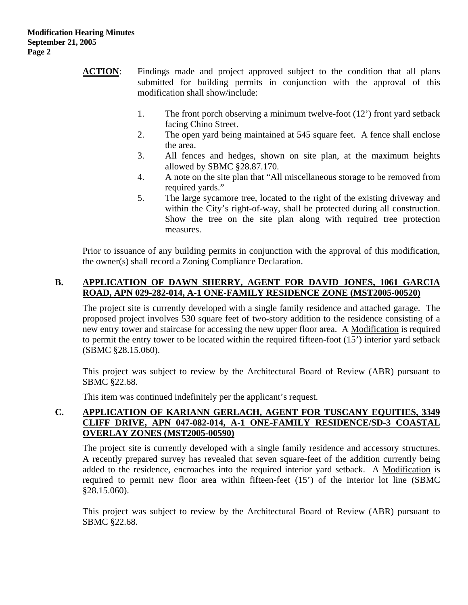- **ACTION:** Findings made and project approved subject to the condition that all plans submitted for building permits in conjunction with the approval of this modification shall show/include:
	- 1. The front porch observing a minimum twelve-foot (12') front yard setback facing Chino Street.
	- 2. The open yard being maintained at 545 square feet. A fence shall enclose the area.
	- 3. All fences and hedges, shown on site plan, at the maximum heights allowed by SBMC §28.87.170.
	- 4. A note on the site plan that "All miscellaneous storage to be removed from required yards."
	- 5. The large sycamore tree, located to the right of the existing driveway and within the City's right-of-way, shall be protected during all construction. Show the tree on the site plan along with required tree protection measures.

Prior to issuance of any building permits in conjunction with the approval of this modification, the owner(s) shall record a Zoning Compliance Declaration.

## **B. APPLICATION OF DAWN SHERRY, AGENT FOR DAVID JONES, 1061 GARCIA ROAD, APN 029-282-014, A-1 ONE-FAMILY RESIDENCE ZONE (MST2005-00520)**

The project site is currently developed with a single family residence and attached garage. The proposed project involves 530 square feet of two-story addition to the residence consisting of a new entry tower and staircase for accessing the new upper floor area. A Modification is required to permit the entry tower to be located within the required fifteen-foot (15') interior yard setback (SBMC §28.15.060).

This project was subject to review by the Architectural Board of Review (ABR) pursuant to SBMC §22.68.

This item was continued indefinitely per the applicant's request.

## **C. APPLICATION OF KARIANN GERLACH, AGENT FOR TUSCANY EQUITIES, 3349 CLIFF DRIVE, APN 047-082-014, A-1 ONE-FAMILY RESIDENCE/SD-3 COASTAL OVERLAY ZONES (MST2005-00590)**

The project site is currently developed with a single family residence and accessory structures. A recently prepared survey has revealed that seven square-feet of the addition currently being added to the residence, encroaches into the required interior yard setback. A Modification is required to permit new floor area within fifteen-feet (15') of the interior lot line (SBMC §28.15.060).

This project was subject to review by the Architectural Board of Review (ABR) pursuant to SBMC §22.68.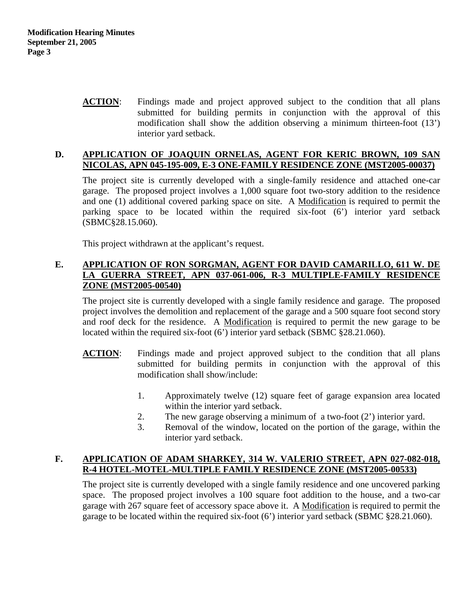**ACTION**: Findings made and project approved subject to the condition that all plans submitted for building permits in conjunction with the approval of this modification shall show the addition observing a minimum thirteen-foot (13') interior yard setback.

#### **D. APPLICATION OF JOAQUIN ORNELAS, AGENT FOR KERIC BROWN, 109 SAN NICOLAS, APN 045-195-009, E-3 ONE-FAMILY RESIDENCE ZONE (MST2005-00037)**

The project site is currently developed with a single-family residence and attached one-car garage. The proposed project involves a 1,000 square foot two-story addition to the residence and one (1) additional covered parking space on site. A Modification is required to permit the parking space to be located within the required six-foot (6') interior yard setback (SBMC§28.15.060).

This project withdrawn at the applicant's request.

#### **E. APPLICATION OF RON SORGMAN, AGENT FOR DAVID CAMARILLO, 611 W. DE LA GUERRA STREET, APN 037-061-006, R-3 MULTIPLE-FAMILY RESIDENCE ZONE (MST2005-00540)**

The project site is currently developed with a single family residence and garage. The proposed project involves the demolition and replacement of the garage and a 500 square foot second story and roof deck for the residence. A Modification is required to permit the new garage to be located within the required six-foot (6') interior vard setback (SBMC §28.21.060).

- **ACTION**: Findings made and project approved subject to the condition that all plans submitted for building permits in conjunction with the approval of this modification shall show/include:
	- 1. Approximately twelve (12) square feet of garage expansion area located within the interior yard setback.
	- 2. The new garage observing a minimum of a two-foot (2') interior yard.
	- 3. Removal of the window, located on the portion of the garage, within the interior yard setback.

## **F. APPLICATION OF ADAM SHARKEY, 314 W. VALERIO STREET, APN 027-082-018, R-4 HOTEL-MOTEL-MULTIPLE FAMILY RESIDENCE ZONE (MST2005-00533)**

The project site is currently developed with a single family residence and one uncovered parking space. The proposed project involves a 100 square foot addition to the house, and a two-car garage with 267 square feet of accessory space above it. A Modification is required to permit the garage to be located within the required six-foot (6') interior yard setback (SBMC §28.21.060).